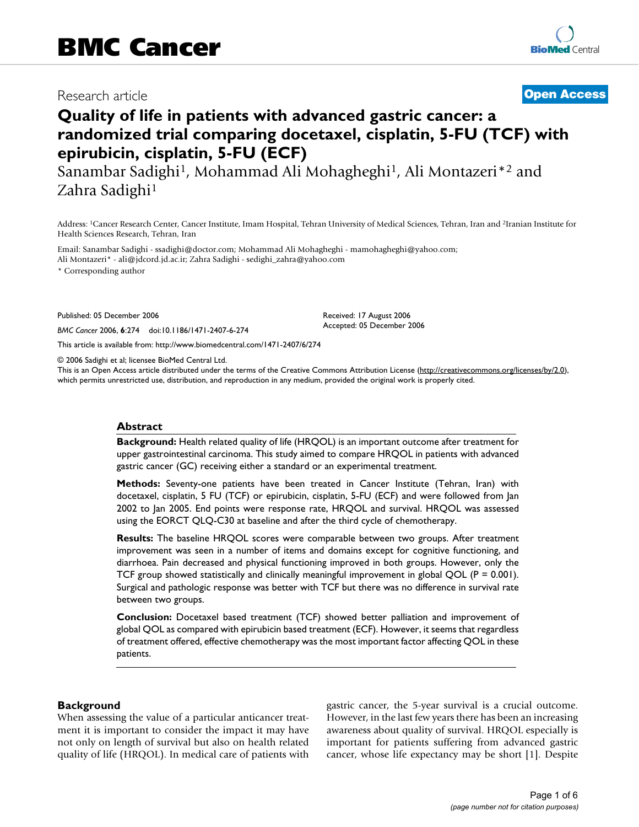# Research article **[Open Access](http://www.biomedcentral.com/info/about/charter/)**

# **Quality of life in patients with advanced gastric cancer: a randomized trial comparing docetaxel, cisplatin, 5-FU (TCF) with epirubicin, cisplatin, 5-FU (ECF)**

Sanambar Sadighi1, Mohammad Ali Mohagheghi1, Ali Montazeri\*2 and Zahra Sadighi1

Address: 1Cancer Research Center, Cancer Institute, Imam Hospital, Tehran University of Medical Sciences, Tehran, Iran and 2Iranian Institute for Health Sciences Research, Tehran, Iran

Email: Sanambar Sadighi - ssadighi@doctor.com; Mohammad Ali Mohagheghi - mamohagheghi@yahoo.com; Ali Montazeri\* - ali@jdcord.jd.ac.ir; Zahra Sadighi - sedighi\_zahra@yahoo.com

\* Corresponding author

Published: 05 December 2006

*BMC Cancer* 2006, **6**:274 doi:10.1186/1471-2407-6-274

[This article is available from: http://www.biomedcentral.com/1471-2407/6/274](http://www.biomedcentral.com/1471-2407/6/274)

© 2006 Sadighi et al; licensee BioMed Central Ltd.

This is an Open Access article distributed under the terms of the Creative Commons Attribution License [\(http://creativecommons.org/licenses/by/2.0\)](http://creativecommons.org/licenses/by/2.0), which permits unrestricted use, distribution, and reproduction in any medium, provided the original work is properly cited.

Received: 17 August 2006 Accepted: 05 December 2006

#### **Abstract**

**Background:** Health related quality of life (HRQOL) is an important outcome after treatment for upper gastrointestinal carcinoma. This study aimed to compare HRQOL in patients with advanced gastric cancer (GC) receiving either a standard or an experimental treatment.

**Methods:** Seventy-one patients have been treated in Cancer Institute (Tehran, Iran) with docetaxel, cisplatin, 5 FU (TCF) or epirubicin, cisplatin, 5-FU (ECF) and were followed from Jan 2002 to Jan 2005. End points were response rate, HRQOL and survival. HRQOL was assessed using the EORCT QLQ-C30 at baseline and after the third cycle of chemotherapy.

**Results:** The baseline HRQOL scores were comparable between two groups. After treatment improvement was seen in a number of items and domains except for cognitive functioning, and diarrhoea. Pain decreased and physical functioning improved in both groups. However, only the TCF group showed statistically and clinically meaningful improvement in global QOL ( $P = 0.001$ ). Surgical and pathologic response was better with TCF but there was no difference in survival rate between two groups.

**Conclusion:** Docetaxel based treatment (TCF) showed better palliation and improvement of global QOL as compared with epirubicin based treatment (ECF). However, it seems that regardless of treatment offered, effective chemotherapy was the most important factor affecting QOL in these patients.

#### **Background**

When assessing the value of a particular anticancer treatment it is important to consider the impact it may have not only on length of survival but also on health related quality of life (HRQOL). In medical care of patients with gastric cancer, the 5-year survival is a crucial outcome. However, in the last few years there has been an increasing awareness about quality of survival. HRQOL especially is important for patients suffering from advanced gastric cancer, whose life expectancy may be short [1]. Despite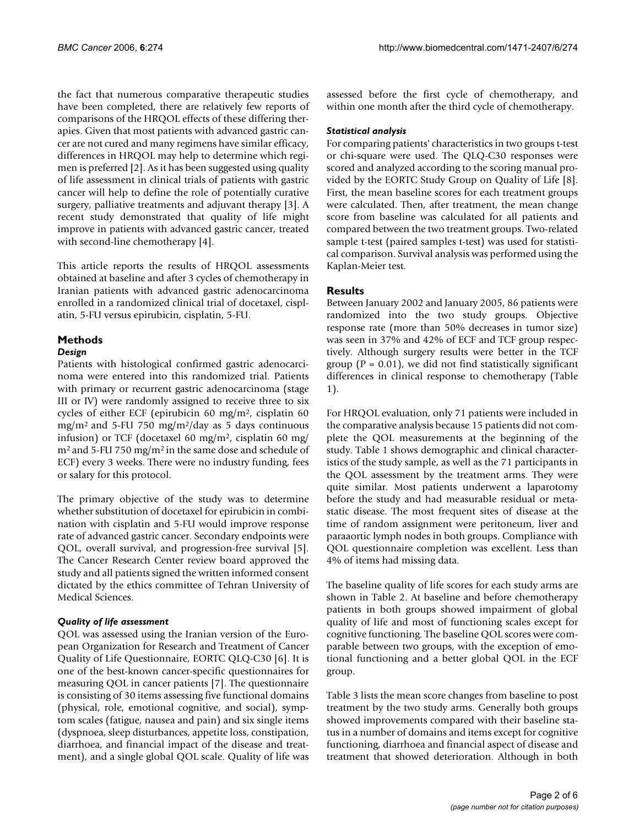the fact that numerous comparative therapeutic studies have been completed, there are relatively few reports of comparisons of the HRQOL effects of these differing therapies. Given that most patients with advanced gastric cancer are not cured and many regimens have similar efficacy, differences in HRQOL may help to determine which regimen is preferred [2]. As it has been suggested using quality of life assessment in clinical trials of patients with gastric cancer will help to define the role of potentially curative surgery, palliative treatments and adjuvant therapy [3]. A recent study demonstrated that quality of life might improve in patients with advanced gastric cancer, treated with second-line chemotherapy [4].

This article reports the results of HRQOL assessments obtained at baseline and after 3 cycles of chemotherapy in Iranian patients with advanced gastric adenocarcinoma enrolled in a randomized clinical trial of docetaxel, cisplatin, 5-FU versus epirubicin, cisplatin, 5-FU.

# **Methods**

### *Design*

Patients with histological confirmed gastric adenocarcinoma were entered into this randomized trial. Patients with primary or recurrent gastric adenocarcinoma (stage III or IV) were randomly assigned to receive three to six cycles of either ECF (epirubicin 60 mg/m2, cisplatin 60 mg/m2 and 5-FU 750 mg/m2/day as 5 days continuous infusion) or TCF (docetaxel 60 mg/m<sup>2</sup>, cisplatin 60 mg/ m2 and 5-FU 750 mg/m2 in the same dose and schedule of ECF) every 3 weeks. There were no industry funding, fees or salary for this protocol.

The primary objective of the study was to determine whether substitution of docetaxel for epirubicin in combination with cisplatin and 5-FU would improve response rate of advanced gastric cancer. Secondary endpoints were QOL, overall survival, and progression-free survival [5]. The Cancer Research Center review board approved the study and all patients signed the written informed consent dictated by the ethics committee of Tehran University of Medical Sciences.

# *Quality of life assessment*

QOL was assessed using the Iranian version of the European Organization for Research and Treatment of Cancer Quality of Life Questionnaire, EORTC QLQ-C30 [6]. It is one of the best-known cancer-specific questionnaires for measuring QOL in cancer patients [7]. The questionnaire is consisting of 30 items assessing five functional domains (physical, role, emotional cognitive, and social), symptom scales (fatigue, nausea and pain) and six single items (dyspnoea, sleep disturbances, appetite loss, constipation, diarrhoea, and financial impact of the disease and treatment), and a single global QOL scale. Quality of life was

assessed before the first cycle of chemotherapy, and within one month after the third cycle of chemotherapy.

## *Statistical analysis*

For comparing patients' characteristics in two groups t-test or chi-square were used. The QLQ-C30 responses were scored and analyzed according to the scoring manual provided by the EORTC Study Group on Quality of Life [8]. First, the mean baseline scores for each treatment groups were calculated. Then, after treatment, the mean change score from baseline was calculated for all patients and compared between the two treatment groups. Two-related sample t-test (paired samples t-test) was used for statistical comparison. Survival analysis was performed using the Kaplan-Meier test.

# **Results**

Between January 2002 and January 2005, 86 patients were randomized into the two study groups. Objective response rate (more than 50% decreases in tumor size) was seen in 37% and 42% of ECF and TCF group respectively. Although surgery results were better in the TCF group ( $P = 0.01$ ), we did not find statistically significant differences in clinical response to chemotherapy (Table 1).

For HRQOL evaluation, only 71 patients were included in the comparative analysis because 15 patients did not complete the QOL measurements at the beginning of the study. Table 1 shows demographic and clinical characteristics of the study sample, as well as the 71 participants in the QOL assessment by the treatment arms. They were quite similar. Most patients underwent a laparotomy before the study and had measurable residual or metastatic disease. The most frequent sites of disease at the time of random assignment were peritoneum, liver and paraaortic lymph nodes in both groups. Compliance with QOL questionnaire completion was excellent. Less than 4% of items had missing data.

The baseline quality of life scores for each study arms are shown in Table 2. At baseline and before chemotherapy patients in both groups showed impairment of global quality of life and most of functioning scales except for cognitive functioning. The baseline QOL scores were comparable between two groups, with the exception of emotional functioning and a better global QOL in the ECF group.

Table 3 lists the mean score changes from baseline to post treatment by the two study arms. Generally both groups showed improvements compared with their baseline status in a number of domains and items except for cognitive functioning, diarrhoea and financial aspect of disease and treatment that showed deterioration. Although in both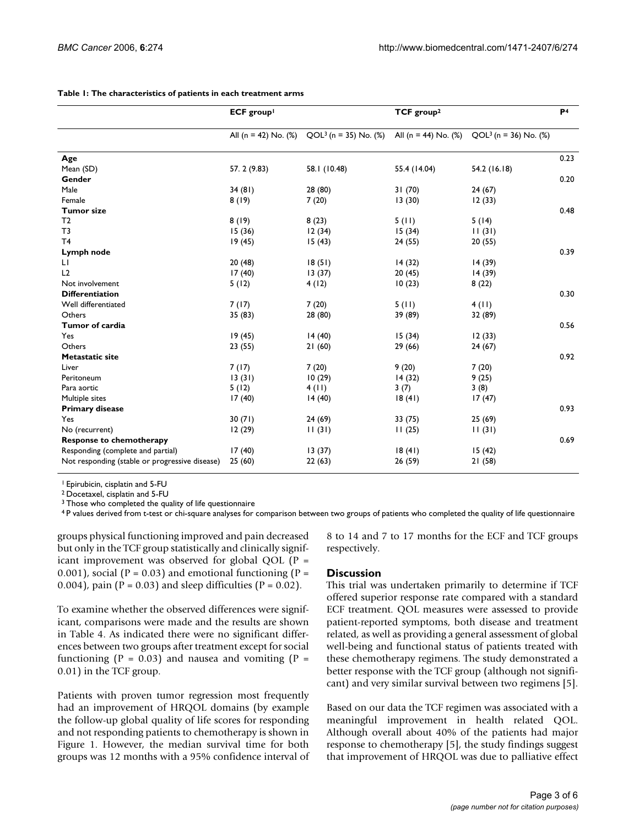|                                                | ECF group <sup>1</sup>  |                         | TCF group <sup>2</sup>  |                         | P <sub>4</sub> |
|------------------------------------------------|-------------------------|-------------------------|-------------------------|-------------------------|----------------|
|                                                | All (n = 42) No. $(\%)$ | $QOL3$ (n = 35) No. (%) | All (n = 44) No. $(\%)$ | $QOL3$ (n = 36) No. (%) |                |
| Age                                            |                         |                         |                         |                         | 0.23           |
| Mean (SD)                                      | 57.2 (9.83)             | 58.1 (10.48)            | 55.4 (14.04)            | 54.2 (16.18)            |                |
| Gender                                         |                         |                         |                         |                         | 0.20           |
| Male                                           | 34(81)                  | 28 (80)                 | 31(70)                  | 24(67)                  |                |
| Female                                         | 8(19)                   | 7(20)                   | 13(30)                  | 12(33)                  |                |
| <b>Tumor size</b>                              |                         |                         |                         |                         | 0.48           |
| T <sub>2</sub>                                 | 8(19)                   | 8(23)                   | 5(11)                   | 5(14)                   |                |
| T <sub>3</sub>                                 | 15(36)                  | 12(34)                  | 15(34)                  | 11(31)                  |                |
| T <sub>4</sub>                                 | 19(45)                  | 15(43)                  | 24 (55)                 | 20(55)                  |                |
| Lymph node                                     |                         |                         |                         |                         | 0.39           |
| LI.                                            | 20(48)                  | 18(51)                  | 14(32)                  | 14 (39)                 |                |
| L <sub>2</sub>                                 | 17(40)                  | 13(37)                  | 20(45)                  | 14(39)                  |                |
| Not involvement                                | 5(12)                   | 4(12)                   | 10(23)                  | 8(22)                   |                |
| <b>Differentiation</b>                         |                         |                         |                         |                         | 0.30           |
| Well differentiated                            | 7(17)                   | 7(20)                   | 5(11)                   | 4(11)                   |                |
| Others                                         | 35 (83)                 | 28 (80)                 | 39 (89)                 | 32 (89)                 |                |
| Tumor of cardia                                |                         |                         |                         |                         | 0.56           |
| Yes                                            | 19(45)                  | 14(40)                  | 15(34)                  | 12(33)                  |                |
| Others                                         | 23(55)                  | 21(60)                  | 29 (66)                 | 24(67)                  |                |
| <b>Metastatic site</b>                         |                         |                         |                         |                         | 0.92           |
| Liver                                          | 7(17)                   | 7(20)                   | 9(20)                   | 7(20)                   |                |
| Peritoneum                                     | 13(31)                  | 10(29)                  | 14(32)                  | 9(25)                   |                |
| Para aortic                                    | 5(12)                   | 4(11)                   | 3(7)                    | 3(8)                    |                |
| Multiple sites                                 | 17(40)                  | 14(40)                  | 18(41)                  | 17(47)                  |                |
| <b>Primary disease</b>                         |                         |                         |                         |                         | 0.93           |
| Yes                                            | 30(71)                  | 24 (69)                 | 33 (75)                 | 25(69)                  |                |
| No (recurrent)                                 | 12(29)                  | 11(31)                  | 11(25)                  | 11(31)                  |                |
| <b>Response to chemotherapy</b>                |                         |                         |                         |                         | 0.69           |
| Responding (complete and partial)              | 17(40)                  | 13(37)                  | 18(41)                  | 15(42)                  |                |
| Not responding (stable or progressive disease) | 25(60)                  | 22(63)                  | 26 (59)                 | 21(58)                  |                |

#### **Table 1: The characteristics of patients in each treatment arms**

1 Epirubicin, cisplatin and 5-FU

2 Docetaxel, cisplatin and 5-FU

<sup>3</sup> Those who completed the quality of life questionnaire

4 P values derived from t-test or chi-square analyses for comparison between two groups of patients who completed the quality of life questionnaire

groups physical functioning improved and pain decreased but only in the TCF group statistically and clinically significant improvement was observed for global QOL (P = 0.001), social ( $P = 0.03$ ) and emotional functioning ( $P =$ 0.004), pain ( $P = 0.03$ ) and sleep difficulties ( $P = 0.02$ ).

To examine whether the observed differences were significant, comparisons were made and the results are shown in Table 4. As indicated there were no significant differences between two groups after treatment except for social functioning ( $P = 0.03$ ) and nausea and vomiting ( $P =$ 0.01) in the TCF group.

Patients with proven tumor regression most frequently had an improvement of HRQOL domains (by example the follow-up global quality of life scores for responding and not responding patients to chemotherapy is shown in Figure 1. However, the median survival time for both groups was 12 months with a 95% confidence interval of

# **Discussion**

respectively.

This trial was undertaken primarily to determine if TCF offered superior response rate compared with a standard ECF treatment. QOL measures were assessed to provide patient-reported symptoms, both disease and treatment related, as well as providing a general assessment of global well-being and functional status of patients treated with these chemotherapy regimens. The study demonstrated a better response with the TCF group (although not significant) and very similar survival between two regimens [5].

8 to 14 and 7 to 17 months for the ECF and TCF groups

Based on our data the TCF regimen was associated with a meaningful improvement in health related QOL. Although overall about 40% of the patients had major response to chemotherapy [5], the study findings suggest that improvement of HRQOL was due to palliative effect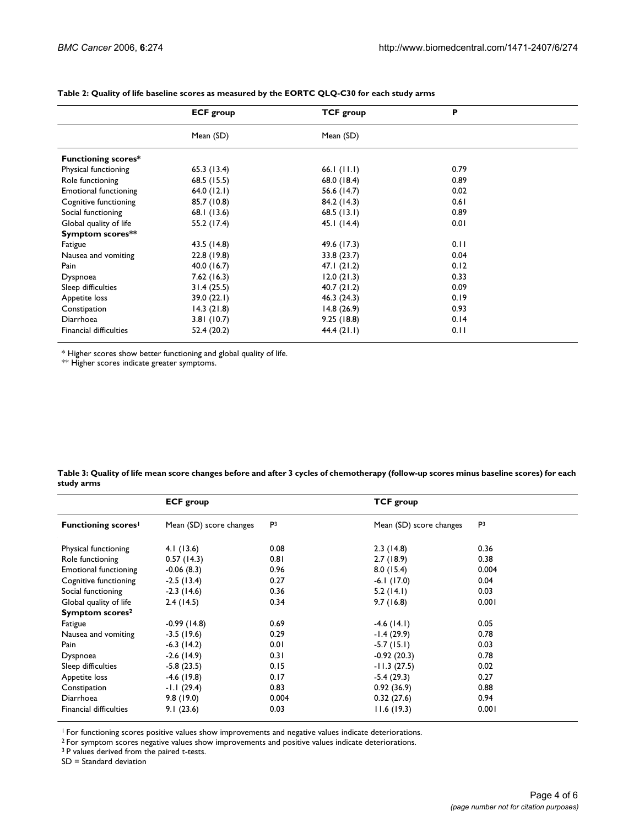|                               | <b>ECF</b> group | <b>TCF group</b> | P    |
|-------------------------------|------------------|------------------|------|
|                               | Mean (SD)        | Mean (SD)        |      |
| <b>Functioning scores*</b>    |                  |                  |      |
| Physical functioning          | 65.3(13.4)       | 66.1 $(11.1)$    | 0.79 |
| Role functioning              | 68.5 (15.5)      | 68.0 (18.4)      | 0.89 |
| <b>Emotional functioning</b>  | 64.0(12.1)       | 56.6 (14.7)      | 0.02 |
| Cognitive functioning         | 85.7 (10.8)      | 84.2 (14.3)      | 0.61 |
| Social functioning            | 68.1 (13.6)      | 68.5(13.1)       | 0.89 |
| Global quality of life        | 55.2 (17.4)      | 45.1(14.4)       | 0.01 |
| Symptom scores**              |                  |                  |      |
| Fatigue                       | 43.5 (14.8)      | 49.6 (17.3)      | 0.11 |
| Nausea and vomiting           | 22.8(19.8)       | 33.8 (23.7)      | 0.04 |
| Pain                          | 40.0(16.7)       | 47.1(21.2)       | 0.12 |
| Dyspnoea                      | 7.62(16.3)       | 12.0(21.3)       | 0.33 |
| Sleep difficulties            | 31.4(25.5)       | 40.7(21.2)       | 0.09 |
| Appetite loss                 | 39.0(22.1)       | 46.3(24.3)       | 0.19 |
| Constipation                  | 14.3(21.8)       | 14.8(26.9)       | 0.93 |
| Diarrhoea                     | 3.81(10.7)       | 9.25(18.8)       | 0.14 |
| <b>Financial difficulties</b> | 52.4 (20.2)      | 44.4(21.1)       | 0.11 |

#### **Table 2: Quality of life baseline scores as measured by the EORTC QLQ-C30 for each study arms**

\* Higher scores show better functioning and global quality of life.

\*\* Higher scores indicate greater symptoms.

| Table 3: Quality of life mean score changes before and after 3 cycles of chemotherapy (follow-up scores minus baseline scores) for each |  |
|-----------------------------------------------------------------------------------------------------------------------------------------|--|
| study arms                                                                                                                              |  |

|                               | <b>ECF group</b>        |                | <b>TCF</b> group        |                |
|-------------------------------|-------------------------|----------------|-------------------------|----------------|
| <b>Functioning scores</b>     | Mean (SD) score changes | P <sup>3</sup> | Mean (SD) score changes | P <sup>3</sup> |
| Physical functioning          | 4.1 (13.6)              | 0.08           | 2.3(14.8)               | 0.36           |
| Role functioning              | 0.57(14.3)              | 0.81           | 2.7(18.9)               | 0.38           |
| <b>Emotional functioning</b>  | $-0.06(8.3)$            | 0.96           | 8.0(15.4)               | 0.004          |
| Cognitive functioning         | $-2.5(13.4)$            | 0.27           | $-6.1(17.0)$            | 0.04           |
| Social functioning            | $-2.3(14.6)$            | 0.36           | 5.2(14.1)               | 0.03           |
| Global quality of life        | 2.4(14.5)               | 0.34           | 9.7(16.8)               | 0.001          |
| Symptom scores <sup>2</sup>   |                         |                |                         |                |
| Fatigue                       | $-0.99(14.8)$           | 0.69           | $-4.6(14.1)$            | 0.05           |
| Nausea and vomiting           | $-3.5(19.6)$            | 0.29           | $-1.4(29.9)$            | 0.78           |
| Pain                          | $-6.3(14.2)$            | 0.01           | $-5.7(15.1)$            | 0.03           |
| Dyspnoea                      | $-2.6(14.9)$            | 0.31           | $-0.92(20.3)$           | 0.78           |
| Sleep difficulties            | $-5.8(23.5)$            | 0.15           | $-11.3(27.5)$           | 0.02           |
| Appetite loss                 | $-4.6(19.8)$            | 0.17           | $-5.4(29.3)$            | 0.27           |
| Constipation                  | $-1.1(29.4)$            | 0.83           | 0.92(36.9)              | 0.88           |
| Diarrhoea                     | 9.8(19.0)               | 0.004          | 0.32(27.6)              | 0.94           |
| <b>Financial difficulties</b> | 9.1(23.6)               | 0.03           | 11.6(19.3)              | 0.001          |

<sup>1</sup> For functioning scores positive values show improvements and negative values indicate deteriorations.

 $2$  For symptom scores negative values show improvements and positive values indicate deteriorations.

<sup>3</sup> P values derived from the paired t-tests.

SD = Standard deviation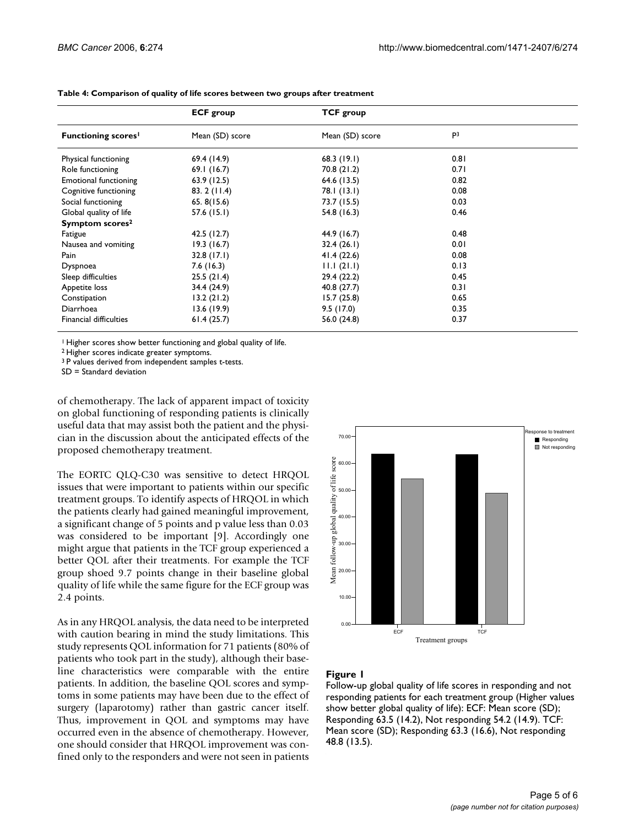|                               | <b>ECF</b> group | <b>TCF</b> group |                |  |
|-------------------------------|------------------|------------------|----------------|--|
| <b>Functioning scores</b>     | Mean (SD) score  | Mean (SD) score  | P <sup>3</sup> |  |
| Physical functioning          | 69.4 (14.9)      | 68.3(19.1)       | 0.81           |  |
| Role functioning              | 69.1(16.7)       | 70.8(21.2)       | 0.71           |  |
| <b>Emotional functioning</b>  | 63.9(12.5)       | 64.6 (13.5)      | 0.82           |  |
| Cognitive functioning         | 83.2(11.4)       | 78.1 (13.1)      | 0.08           |  |
| Social functioning            | 65.8(15.6)       | 73.7 (15.5)      | 0.03           |  |
| Global quality of life        | 57.6(15.1)       | 54.8 (16.3)      | 0.46           |  |
| Symptom scores <sup>2</sup>   |                  |                  |                |  |
| Fatigue                       | 42.5(12.7)       | 44.9 (16.7)      | 0.48           |  |
| Nausea and vomiting           | 19.3(16.7)       | 32.4(26.1)       | 0.01           |  |
| Pain                          | 32.8(17.1)       | 41.4(22.6)       | 0.08           |  |
| Dyspnoea                      | 7.6(16.3)        | 11.1(21.1)       | 0.13           |  |
| Sleep difficulties            | 25.5(21.4)       | 29.4 (22.2)      | 0.45           |  |
| Appetite loss                 | 34.4 (24.9)      | 40.8 (27.7)      | 0.31           |  |
| Constipation                  | 13.2(21.2)       | 15.7(25.8)       | 0.65           |  |
| Diarrhoea                     | 13.6(19.9)       | 9.5(17.0)        | 0.35           |  |
| <b>Financial difficulties</b> | 61.4(25.7)       | 56.0 (24.8)      | 0.37           |  |

**Table 4: Comparison of quality of life scores between two groups after treatment**

<sup>1</sup> Higher scores show better functioning and global quality of life.

2 Higher scores indicate greater symptoms.

3 P values derived from independent samples t-tests.

SD = Standard deviation

of chemotherapy. The lack of apparent impact of toxicity on global functioning of responding patients is clinically useful data that may assist both the patient and the physician in the discussion about the anticipated effects of the proposed chemotherapy treatment.

The EORTC QLQ-C30 was sensitive to detect HRQOL issues that were important to patients within our specific treatment groups. To identify aspects of HRQOL in which the patients clearly had gained meaningful improvement, a significant change of 5 points and p value less than 0.03 was considered to be important [9]. Accordingly one might argue that patients in the TCF group experienced a better QOL after their treatments. For example the TCF group shoed 9.7 points change in their baseline global quality of life while the same figure for the ECF group was 2.4 points.

As in any HRQOL analysis, the data need to be interpreted with caution bearing in mind the study limitations. This study represents QOL information for 71 patients (80% of patients who took part in the study), although their baseline characteristics were comparable with the entire patients. In addition, the baseline QOL scores and symptoms in some patients may have been due to the effect of surgery (laparotomy) rather than gastric cancer itself. Thus, improvement in QOL and symptoms may have occurred even in the absence of chemotherapy. However, one should consider that HRQOL improvement was confined only to the responders and were not seen in patients



# Figure 1

Follow-up global quality of life scores in responding and not responding patients for each treatment group (Higher values show better global quality of life): ECF: Mean score (SD); Responding 63.5 (14.2), Not responding 54.2 (14.9). TCF: Mean score (SD); Responding 63.3 (16.6), Not responding 48.8 (13.5).